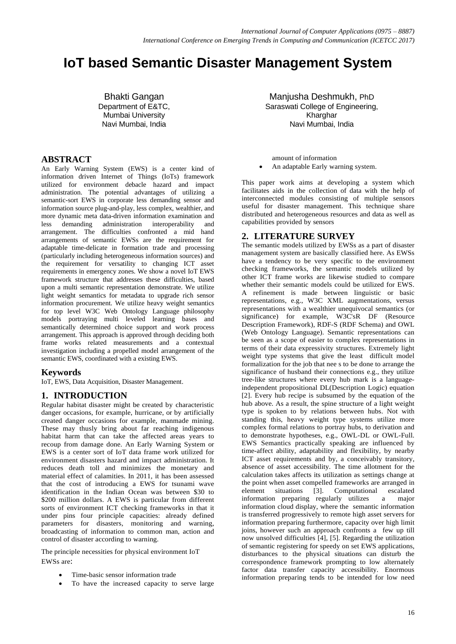# **IoT based Semantic Disaster Management System**

Bhakti Gangan Department of E&TC, Mumbai University Navi Mumbai, India

## **ABSTRACT**

An Early Warning System (EWS) is a center kind of information driven Internet of Things (IoTs) framework utilized for environment debacle hazard and impact administration. The potential advantages of utilizing a semantic-sort EWS in corporate less demanding sensor and information source plug-and-play, less complex, wealthier, and more dynamic meta data-driven information examination and less demanding administration interoperability and arrangement. The difficulties confronted a mid hand arrangements of semantic EWSs are the requirement for adaptable time-delicate in formation trade and processing (particularly including heterogeneous information sources) and the requirement for versatility to changing ICT asset requirements in emergency zones. We show a novel IoT EWS framework structure that addresses these difficulties, based upon a multi semantic representation demonstrate. We utilize light weight semantics for metadata to upgrade rich sensor information procurement. We utilize heavy weight semantics for top level W3C Web Ontology Language philosophy models portraying multi leveled learning bases and semantically determined choice support and work process arrangement. This approach is approved through deciding both frame works related measurements and a contextual investigation including a propelled model arrangement of the semantic EWS, coordinated with a existing EWS.

## **Keywords**

IoT, EWS, Data Acquisition, Disaster Management.

## **1. INTRODUCTION**

Regular habitat disaster might be created by characteristic danger occasions, for example, hurricane, or by artificially created danger occasions for example, manmade mining. These may thusly bring about far reaching indigenous habitat harm that can take the affected areas years to recoup from damage done. An Early Warning System or EWS is a center sort of IoT data frame work utilized for environment disasters hazard and impact administration. It reduces death toll and minimizes the monetary and material effect of calamities. In 2011, it has been assessed that the cost of introducing a EWS for tsunami wave identification in the Indian Ocean was between \$30 to \$200 million dollars. A EWS is particular from different sorts of environment ICT checking frameworks in that it under pins four principle capacities: already defined parameters for disasters, monitoring and warning, broadcasting of information to common man, action and control of disaster according to warning.

The principle necessities for physical environment IoT EWSs are:

- Time-basic sensor information trade
- To have the increased capacity to serve large

Manjusha Deshmukh, PhD Saraswati College of Engineering. Kharghar Navi Mumbai, India

- amount of information
- An adaptable Early warning system.

This paper work aims at developing a system which facilitates aids in the collection of data with the help of interconnected modules consisting of multiple sensors useful for disaster management. This technique share distributed and heterogeneous resources and data as well as capabilities provided by sensors

## **2. LITERATURE SURVEY**

The semantic models utilized by EWSs as a part of disaster management system are basically classified here. As EWSs have a tendency to be very specific to the environment checking frameworks, the semantic models utilized by other ICT frame works are likewise studied to compare whether their semantic models could be utilized for EWS. A refinement is made between linguistic or basic representations, e.g., W3C XML augmentations, versus representations with a wealthier unequivocal semantics (or significance) for example, W3C'sR DF (Resource Description Framework), RDF-S (RDF Schema) and OWL (Web Ontology Language). Semantic representations can be seen as a scope of easier to complex representations in terms of their data expressivity structures. Extremely light weight type systems that give the least difficult model formalization for the job that nee s to be done to arrange the significance of husband their connections e.g., they utilize tree-like structures where every hub mark is a languageindependent propositional DL(Description Logic) equation [2]. Every hub recipe is subsumed by the equation of the hub above. As a result, the spine structure of a light weight type is spoken to by relations between hubs. Not with standing this, heavy weight type systems utilize more complex formal relations to portray hubs, to derivation and to demonstrate hypotheses, e.g., OWL-DL or OWL-Full. EWS Semantics practically speaking are influenced by time-affect ability, adaptability and flexibility, by nearby ICT asset requirements and by, a conceivably transitory, absence of asset accessibility. The time allotment for the calculation takes affects its utilization as settings change at the point when asset compelled frameworks are arranged in element situations [3]. Computational escalated information preparing regularly utilizes a major information preparing regularly utilizes a information cloud display, where the semantic information is transferred progressively to remote high asset servers for information preparing furthermore, capacity over high limit joins, however such an approach confronts a few up till now unsolved difficulties [4], [5]. Regarding the utilization of semantic registering for speedy on set EWS applications, disturbances to the physical situations can disturb the correspondence framework prompting to low alternately factor data transfer capacity accessibility. Enormous information preparing tends to be intended for low need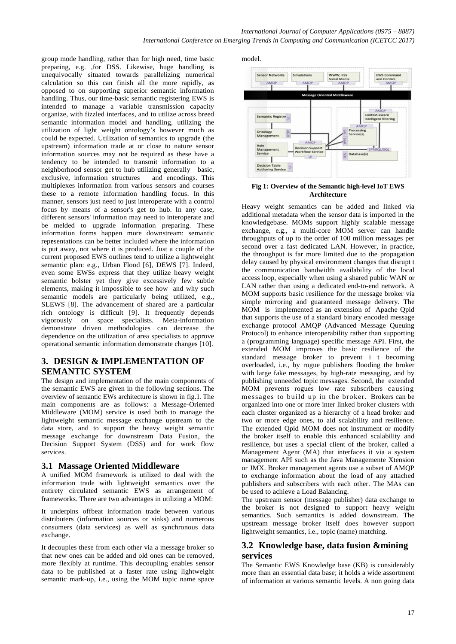group mode handling, rather than for high need, time basic preparing, e.g. ,for DSS. Likewise, huge handling is unequivocally situated towards parallelizing numerical calculation so this can finish all the more rapidly, as opposed to on supporting superior semantic information handling. Thus, our time-basic semantic registering EWS is intended to manage a variable transmission capacity organize, with fizzled interfaces, and to utilize across breed semantic information model and handling, utilizing the utilization of light weight ontology's however much as could be expected. Utilization of semantics to upgrade (the upstream) information trade at or close to nature sensor information sources may not be required as these have a tendency to be intended to transmit information to a neighborhood sensor get to hub utilizing generally basic, exclusive, information structures and encodings. This multiplexes information from various sensors and courses these to a remote information handling focus. In this manner, sensors just need to just interoperate with a control focus by means of a sensor's get to hub. In any case, different sensors' information may need to interoperate and be melded to upgrade information preparing. These information forms happen more downstream: semantic representations can be better included where the information is put away, not where it is produced. Just a couple of the current proposed EWS outlines tend to utilize a lightweight semantic plan: e.g., Urban Flood [6], DEWS [7]. Indeed, even some EWSs express that they utilize heavy weight semantic bolster yet they give excessively few subtle elements, making it impossible to see how and why such semantic models are particularly being utilized, e.g., SLEWS [8]. The advancement of shared are a particular rich ontology is difficult [9]. It frequently depends vigorously on space specialists. Meta-information demonstrate driven methodologies can decrease the dependence on the utilization of area specialists to approve operational semantic information demonstrate changes [10].

# **3. DESIGN & IMPLEMENTATION OF SEMANTIC SYSTEM**

The design and implementation of the main components of the semantic EWS are given in the following sections. The overview of semantic EWs architecture is shown in fig.1. The main components are as follows: a Message-Oriented Middleware (MOM) service is used both to manage the lightweight semantic message exchange upstream to the data store, and to support the heavy weight semantic message exchange for downstream Data Fusion, the Decision Support System (DSS) and for work flow services.

## **3.1 Massage Oriented Middleware**

A unified MOM framework is utilized to deal with the information trade with lightweight semantics over the entirety circulated semantic EWS as arrangement of frameworks. There are two advantages in utilizing a MOM:

It underpins offbeat information trade between various distributers (information sources or sinks) and numerous consumers (data services) as well as synchronous data exchange.

It decouples these from each other via a message broker so that new ones can be added and old ones can be removed, more flexibly at runtime. This decoupling enables sensor data to be published at a faster rate using lightweight semantic mark-up, i.e., using the MOM topic name space

model.



**Fig 1: Overview of the Semantic high-level IoT EWS Architecture**

Heavy weight semantics can be added and linked via additional metadata when the sensor data is imported in the knowledgebase. MOMs support highly scalable message exchange, e.g., a multi-core MOM server can handle throughputs of up to the order of 100 million messages per second over a fast dedicated LAN. However, in practice, the throughput is far more limited due to the propagation delay caused by physical environment changes that disrupt t the communication bandwidth availability of the local access loop, especially when using a shared public WAN or LAN rather than using a dedicated end-to-end network. A MOM supports basic resilience for the message broker via simple mirroring and guaranteed message delivery. The MOM is implemented as an extension of Apache Qpid that supports the use of a standard binary encoded message exchange protocol AMQP (Advanced Message Queuing Protocol) to enhance interoperability rather than supporting a (programming language) specific message API. First, the extended MOM improves the basic resilience of the standard message broker to prevent i t becoming overloaded, i.e., by rogue publishers flooding the broker with large fake messages, by high-rate messaging, and by publishing unneeded topic messages. Second, the extended MOM prevents rogues low rate subscribers causing messages to build up in the broker. Brokers can be organized into one or more inter linked broker clusters with each cluster organized as a hierarchy of a head broker and two or more edge ones, to aid scalability and resilience. The extended Qpid MOM does not instrument or modify the broker itself to enable this enhanced scalability and resilience, but uses a special client of the broker, called a Management Agent (MA) that interfaces it via a system management API such as the Java Managemente Xtension or JMX. Broker management agents use a subset of AMQP to exchange information about the load of any attached publishers and subscribers with each other. The MAs can be used to achieve a Load Balancing.

The upstream sensor (message publisher) data exchange to the broker is not designed to support heavy weight semantics. Such semantics is added downstream. The upstream message broker itself does however support lightweight semantics, i.e., topic (name) matching.

## **3.2 Knowledge base, data fusion &mining services**

The Semantic EWS Knowledge base (KB) is considerably more than an essential data base; it holds a wide assortment of information at various semantic levels. A non going data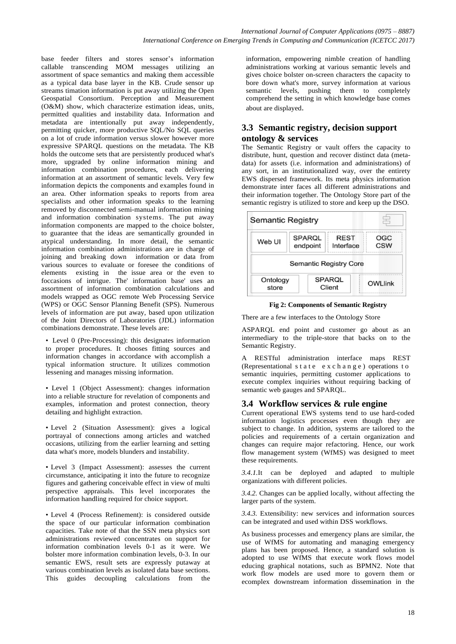base feeder filters and stores sensor's information callable transcending MOM messages utilizing an assortment of space semantics and making them accessible as a typical data base layer in the KB. Crude sensor up streams timation information is put away utilizing the Open Geospatial Consortium. Perception and Measurement (O&M) show, which characterize estimation ideas, units, permitted qualities and instability data. Information and metadata are intentionally put away independently, permitting quicker, more productive SQL/No SQL queries on a lot of crude information versus slower however more expressive SPARQL questions on the metadata. The KB holds the outcome sets that are persistently produced what's more, upgraded by online information mining and information combination procedures, each delivering information at an assortment of semantic levels. Very few information depicts the components and examples found in an area. Other information speaks to reports from area specialists and other information speaks to the learning removed by disconnected semi-manual information mining and information combination systems. The put away information components are mapped to the choice bolster, to guarantee that the ideas are semantically grounded in atypical understanding. In more detail, the semantic information combination administrations are in charge of joining and breaking down information or data from various sources to evaluate or foresee the conditions of elements existing in the issue area or the even to foccasions of intrigue. The' information base' uses an assortment of information combination calculations and models wrapped as OGC remote Web Processing Service (WPS) or OGC Sensor Planning Benefit (SPS). Numerous levels of information are put away, based upon utilization of the Joint Directors of Laboratories (JDL) information combinations demonstrate. These levels are:

• Level 0 (Pre-Processing): this designates information to proper procedures. It chooses fitting sources and information changes in accordance with accomplish a typical information structure. It utilizes commotion lessening and manages missing information.

• Level 1 (Object Assessment): changes information into a reliable structure for revelation of components and examples, information and protest connection, theory detailing and highlight extraction.

• Level 2 (Situation Assessment): gives a logical portrayal of connections among articles and watched occasions, utilizing from the earlier learning and setting data what's more, models blunders and instability.

• Level 3 (Impact Assessment): assesses the current circumstance, anticipating it into the future to recognize figures and gathering conceivable effect in view of multi perspective appraisals. This level incorporates the information handling required for choice support.

• Level 4 (Process Refinement): is considered outside the space of our particular information combination capacities. Take note of that the SSN meta physics sort administrations reviewed concentrates on support for information combination levels 0-1 as it were. We bolster more information combination levels, 0-3. In our semantic EWS, result sets are expressly putaway at various combination levels as isolated data base sections. This guides decoupling calculations from the

information, empowering nimble creation of handling administrations working at various semantic levels and gives choice bolster on-screen characters the capacity to bore down what's more, survey information at various semantic levels, pushing them to completely comprehend the setting in which knowledge base comes about are displayed.

## **3.3 Semantic registry, decision support ontology & services**

The Semantic Registry or vault offers the capacity to distribute, hunt, question and recover distinct data (metadata) for assets (i.e. information and administrations) of any sort, in an institutionalized way, over the entirety EWS dispersed framework. Its meta physics information demonstrate inter faces all different administrations and their information together. The Ontology Store part of the semantic registry is utilized to store and keep up the DSO.



**Fig 2: Components of Semantic Registry**

There are a few interfaces to the Ontology Store

ASPARQL end point and customer go about as an intermediary to the triple-store that backs on to the Semantic Registry.

A RESTful administration interface maps REST (Representational state  $exch$  ange) operations to semantic inquiries, permitting customer applications to execute complex inquiries without requiring backing of semantic web gauges and SPARQL.

## **3.4 Workflow services & rule engine**

Current operational EWS systems tend to use hard-coded information logistics processes even though they are subject to change. In addition, systems are tailored to the policies and requirements of a certain organization and changes can require major refactoring. Hence, our work flow management system (WfMS) was designed to meet these requirements.

*3.4.1.*It can be deployed and adapted to multiple organizations with different policies.

*3.4.2.* Changes can be applied locally, without affecting the larger parts of the system.

*3.4.3.* Extensibility: new services and information sources can be integrated and used within DSS workflows.

As business processes and emergency plans are similar, the use of WfMS for automating and managing emergency plans has been proposed. Hence, a standard solution is adopted to use WfMS that execute work flows model educing graphical notations, such as BPMN2. Note that work flow models are used more to govern them or ecomplex downstream information dissemination in the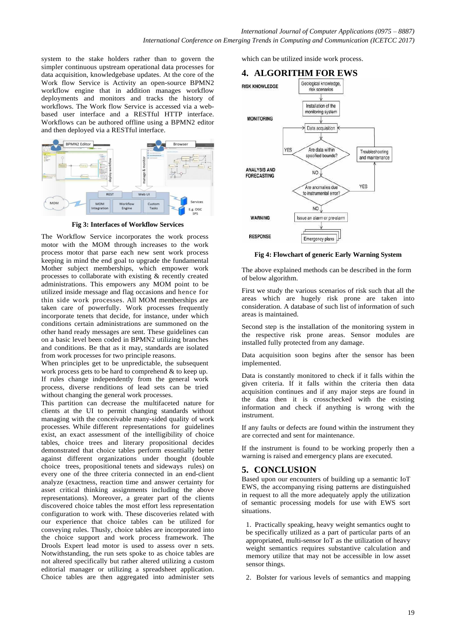system to the stake holders rather than to govern the simpler continuous upstream operational data processes for data acquisition, knowledgebase updates. At the core of the Work flow Service is Activity an open-source BPMN2 workflow engine that in addition manages workflow deployments and monitors and tracks the history of workflows. The Work flow Service is accessed via a webbased user interface and a RESTful HTTP interface. Workflows can be authored offline using a BPMN2 editor and then deployed via a RESTful interface.



**Fig 3: Interfaces of Workflow Services**

The Workflow Service incorporates the work process motor with the MOM through increases to the work process motor that parse each new sent work process keeping in mind the end goal to upgrade the fundamental Mother subject memberships, which empower work processes to collaborate with existing & recently created administrations. This empowers any MOM point to be utilized inside message and flag occasions and hence for thin side work processes. All MOM memberships are taken care of powerfully. Work processes frequently incorporate tenets that decide, for instance, under which conditions certain administrations are summoned on the other hand ready messages are sent. These guidelines can on a basic level been coded in BPMN2 utilizing branches and conditions. Be that as it may, standards are isolated from work processes for two principle reasons.

When principles get to be unpredictable, the subsequent work process gets to be hard to comprehend & to keep up. If rules change independently from the general work process, diverse renditions of lead sets can be tried without changing the general work processes.

This partition can decrease the multifaceted nature for clients at the UI to permit changing standards without managing with the conceivable many-sided quality of work processes. While different representations for guidelines exist, an exact assessment of the intelligibility of choice tables, choice trees and literary propositional decides demonstrated that choice tables perform essentially better against different organizations under thought (double choice trees, propositional tenets and sideways rules) on every one of the three criteria connected in an end-client analyze (exactness, reaction time and answer certainty for asset critical thinking assignments including the above representations). Moreover, a greater part of the clients discovered choice tables the most effort less representation configuration to work with. These discoveries related with our experience that choice tables can be utilized for conveying rules. Thusly, choice tables are incorporated into the choice support and work process framework. The Drools Expert lead motor is used to assess over n sets. Notwithstanding, the run sets spoke to as choice tables are not altered specifically but rather altered utilizing a custom editorial manager or utilizing a spreadsheet application. Choice tables are then aggregated into administer sets

which can be utilized inside work process.



**Fig 4: Flowchart of generic Early Warning System**

The above explained methods can be described in the form of below algorithm.

First we study the various scenarios of risk such that all the areas which are hugely risk prone are taken into consideration. A database of such list of information of such areas is maintained.

Second step is the installation of the monitoring system in the respective risk prone areas. Sensor modules are installed fully protected from any damage.

Data acquisition soon begins after the sensor has been implemented.

Data is constantly monitored to check if it falls within the given criteria. If it falls within the criteria then data acquisition continues and if any major steps are found in the data then it is crosschecked with the existing information and check if anything is wrong with the instrument.

If any faults or defects are found within the instrument they are corrected and sent for maintenance.

If the instrument is found to be working properly then a warning is raised and emergency plans are executed.

## **5. CONCLUSION**

Based upon our encounters of building up a semantic IoT EWS, the accompanying rising patterns are distinguished in request to all the more adequately apply the utilization of semantic processing models for use with EWS sort situations.

1. Practically speaking, heavy weight semantics ought to be specifically utilized as a part of particular parts of an appropriated, multi-sensor IoT as the utilization of heavy weight semantics requires substantive calculation and memory utilize that may not be accessible in low asset sensor things.

2. Bolster for various levels of semantics and mapping